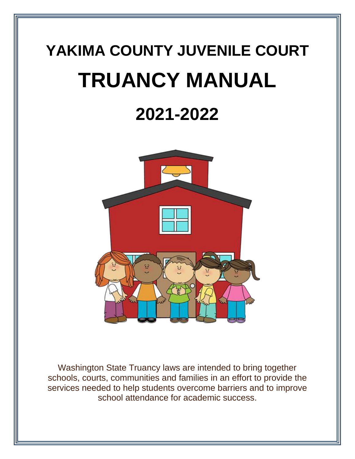# **YAKIMA COUNTY JUVENILE COURT TRUANCY MANUAL**

# **2021-2022**



Washington State Truancy laws are intended to bring together schools, courts, communities and families in an effort to provide the services needed to help students overcome barriers and to improve school attendance for academic success.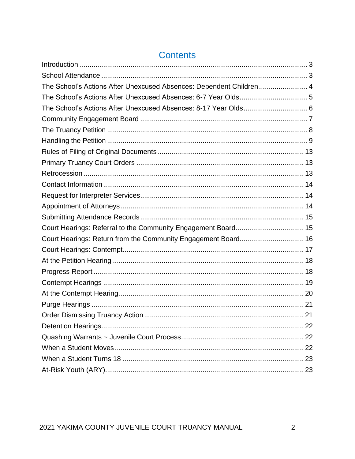| The School's Actions After Unexcused Absences: Dependent Children 4 |  |
|---------------------------------------------------------------------|--|
|                                                                     |  |
| The School's Actions After Unexcused Absences: 8-17 Year Olds 6     |  |
|                                                                     |  |
|                                                                     |  |
|                                                                     |  |
|                                                                     |  |
|                                                                     |  |
|                                                                     |  |
|                                                                     |  |
|                                                                     |  |
|                                                                     |  |
|                                                                     |  |
| Court Hearings: Referral to the Community Engagement Board 15       |  |
| Court Hearings: Return from the Community Engagement Board 16       |  |
|                                                                     |  |
|                                                                     |  |
|                                                                     |  |
|                                                                     |  |
|                                                                     |  |
|                                                                     |  |
|                                                                     |  |
|                                                                     |  |
|                                                                     |  |
|                                                                     |  |
|                                                                     |  |
|                                                                     |  |

# **Contents**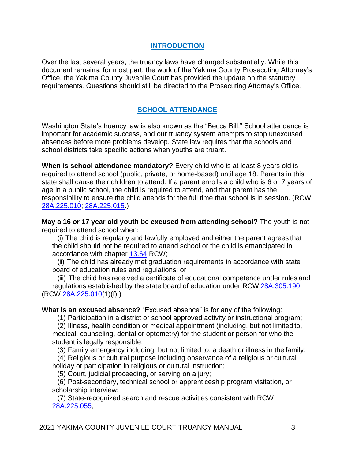#### **INTRODUCTION**

<span id="page-2-1"></span><span id="page-2-0"></span>Over the last several years, the truancy laws have changed substantially. While this document remains, for most part, the work of the Yakima County Prosecuting Attorney's Office, the Yakima County Juvenile Court has provided the update on the statutory requirements. Questions should still be directed to the Prosecuting Attorney's Office.

# **SCHOOL ATTENDANCE**

Washington State's truancy law is also known as the "Becca Bill." School attendance is important for academic success, and our truancy system attempts to stop unexcused absences before more problems develop. State law requires that the schools and school districts take specific actions when youths are truant.

**When is school attendance mandatory?** Every child who is at least 8 years old is required to attend school (public, private, or home-based) until age 18. Parents in this state shall cause their children to attend. If a parent enrolls a child who is 6 or 7 years of age in a public school, the child is required to attend, and that parent has the responsibility to ensure the child attends for the full time that school is in session. (RCW [28A.225.010;](http://app.leg.wa.gov/RCW/default.aspx?cite=28A.225.010) [28A.225.015.](http://app.leg.wa.gov/RCW/default.aspx?cite=28A.225.015))

**May a 16 or 17 year old youth be excused from attending school?** The youth is not required to attend school when:

(i) The child is regularly and lawfully employed and either the parent agrees that the child should not be required to attend school or the child is emancipated in accordance with chapter [13.64](http://app.leg.wa.gov/RCW/default.aspx?cite=13.64) RCW;

(ii) The child has already met graduation requirements in accordance with state board of education rules and regulations; or

(iii) The child has received a certificate of educational competence under rules and regulations established by the state board of education under RCW [28A.305.190.](http://app.leg.wa.gov/RCW/default.aspx?cite=28A.305.190) (RCW [28A.225.010\(](http://app.leg.wa.gov/RCW/default.aspx?cite=28A.225.010)1)(f).)

**What is an excused absence?** "Excused absence" is for any of the following:

(1) Participation in a district or school approved activity or instructional program;

(2) Illness, health condition or medical appointment (including, but not limited to, medical, counseling, dental or optometry) for the student or person for who the student is legally responsible;

(3) Family emergency including, but not limited to, a death or illness in the family;

(4) Religious or cultural purpose including observance of a religious or cultural holiday or participation in religious or cultural instruction;

(5) Court, judicial proceeding, or serving on a jury;

(6) Post-secondary, technical school or apprenticeship program visitation, or scholarship interview;

(7) State-recognized search and rescue activities consistent with RC[W](http://app.leg.wa.gov/RCW/default.aspx?cite=28A.225.055) [28A.225.055;](http://app.leg.wa.gov/RCW/default.aspx?cite=28A.225.055)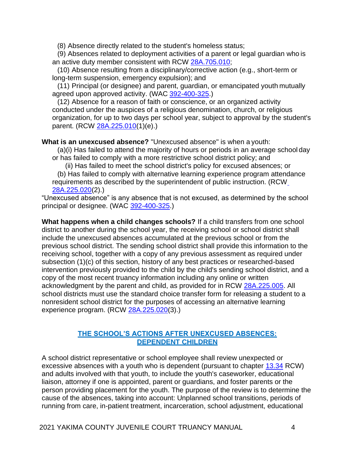(8) Absence directly related to the student's homeless status;

(9) Absences related to deployment activities of a parent or legal guardian who is an active duty member consistent with RCW [28A.705.010;](http://app.leg.wa.gov/RCW/default.aspx?cite=28A.705.010)

(10) Absence resulting from a disciplinary/corrective action (e.g., short-term or long-term suspension, emergency expulsion); and

(11) Principal (or designee) and parent, guardian, or emancipated youth mutually agreed upon approved activity. (WAC [392-400-325.](http://apps.leg.wa.gov/wac/default.aspx?cite=392-400-325))

(12) Absence for a reason of faith or conscience, or an organized activity conducted under the auspices of a religious denomination, church, or religious organization, for up to two days per school year, subject to approval by the student's parent. (RCW [28A.225.010\(](http://app.leg.wa.gov/RCW/default.aspx?cite=28A.225.010)1)(e).)

**What is an unexcused absence?** "Unexcused absence" is when a youth:

(a)(i) Has failed to attend the majority of hours or periods in an average school day or has failed to comply with a more restrictive school district policy; and

(ii) Has failed to meet the school district's policy for excused absences; or

(b) Has failed to comply with alternative learning experience program attendance requirements as described by the superintendent of public instruction. (RC[W](http://app.leg.wa.gov/RCW/default.aspx?cite=28A.225.020) [28A.225.020\(](http://app.leg.wa.gov/RCW/default.aspx?cite=28A.225.020)2).)

"Unexcused absence" is any absence that is not excused, as determined by the school principal or designee. (WAC [392-400-325.](http://apps.leg.wa.gov/wac/default.aspx?cite=392-400-325))

**What happens when a child changes schools?** If a child transfers from one school district to another during the school year, the receiving school or school district shall include the unexcused absences accumulated at the previous school or from the previous school district. The sending school district shall provide this information to the receiving school, together with a copy of any previous assessment as required under subsection (1)(c) of this section, history of any best practices or researched-based intervention previously provided to the child by the child's sending school district, and a copy of the most recent truancy information including any online or written acknowledgment by the parent and child, as provided for in RCW [28A.225.005.](http://app.leg.wa.gov/RCW/default.aspx?cite=28A.225.005) All school districts must use the standard choice transfer form for releasing a student to a nonresident school district for the purposes of accessing an alternative learning experience program. (RCW [28A.225.020\(](http://app.leg.wa.gov/RCW/default.aspx?cite=28A.225.020)3).)

#### **THE SCHOOL'S ACTIONS AFTER UNEXCUSED ABSENCES: DEPENDENT CHILDREN**

<span id="page-3-0"></span>A school district representative or school employee shall review unexpected or excessive absences with a youth who is dependent (pursuant to chapter [13.34](http://app.leg.wa.gov/RCW/default.aspx?cite=13.34) RCW) and adults involved with that youth, to include the youth's caseworker, educational liaison, attorney if one is appointed, parent or guardians, and foster parents or the person providing placement for the youth. The purpose of the review is to determine the cause of the absences, taking into account: Unplanned school transitions, periods of running from care, in-patient treatment, incarceration, school adjustment, educational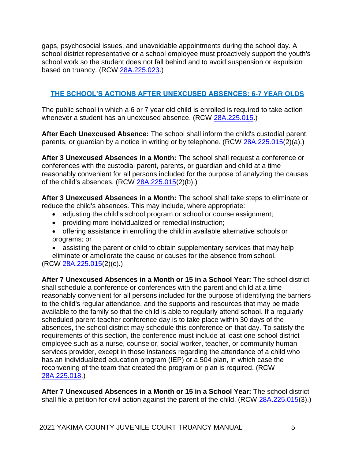gaps, psychosocial issues, and unavoidable appointments during the school day. A school district representative or a school employee must proactively support the youth's school work so the student does not fall behind and to avoid suspension or expulsion based on truancy. (RCW [28A.225.023.](http://app.leg.wa.gov/RCW/default.aspx?cite=28A.225.023))

# <span id="page-4-0"></span>**THE SCHOOL'S ACTIONS AFTER UNEXCUSED ABSENCES: 6-7 YEAR OLDS**

The public school in which a 6 or 7 year old child is enrolled is required to take action whenever a student has an unexcused absence. (RCW [28A.225.015.](http://app.leg.wa.gov/RCW/default.aspx?cite=28A.225.015))

**After Each Unexcused Absence:** The school shall inform the child's custodial parent, parents, or guardian by a notice in writing or by telephone. (RCW [28A.225.015\(](http://app.leg.wa.gov/RCW/default.aspx?cite=28A.225.015)2)(a).)

**After 3 Unexcused Absences in a Month:** The school shall request a conference or conferences with the custodial parent, parents, or guardian and child at a time reasonably convenient for all persons included for the purpose of analyzing the causes of the child's absences. (RCW [28A.225.015\(](http://app.leg.wa.gov/RCW/default.aspx?cite=28A.225.015)2)(b).)

**After 3 Unexcused Absences in a Month:** The school shall take steps to eliminate or reduce the child's absences. This may include, where appropriate:

- adjusting the child's school program or school or course assignment;
- providing more individualized or remedial instruction;
- offering assistance in enrolling the child in available alternative schools or programs; or
- assisting the parent or child to obtain supplementary services that may help

eliminate or ameliorate the cause or causes for the absence from school. (RCW [28A.225.015\(](http://app.leg.wa.gov/RCW/default.aspx?cite=28A.225.015)2)(c).)

**After 7 Unexcused Absences in a Month or 15 in a School Year:** The school district shall schedule a conference or conferences with the parent and child at a time reasonably convenient for all persons included for the purpose of identifying the barriers to the child's regular attendance, and the supports and resources that may be made available to the family so that the child is able to regularly attend school. If a regularly scheduled parent-teacher conference day is to take place within 30 days of the absences, the school district may schedule this conference on that day. To satisfy the requirements of this section, the conference must include at least one school district employee such as a nurse, counselor, social worker, teacher, or community human services provider, except in those instances regarding the attendance of a child who has an individualized education program (IEP) or a 504 plan, in which case the reconvening of the team that created the program or plan is required. (RCW [28A.225.018.](http://app.leg.wa.gov/RCW/default.aspx?cite=28A.225.018))

**After 7 Unexcused Absences in a Month or 15 in a School Year:** The school district shall file a petition for civil action against the parent of the child. (RCW [28A.225.015\(](http://app.leg.wa.gov/RCW/default.aspx?cite=28A.225.015)3).)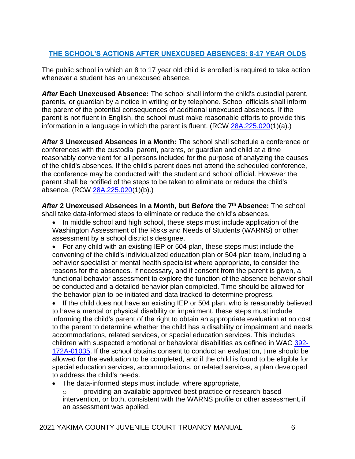# <span id="page-5-0"></span>**THE SCHOOL'S ACTIONS AFTER UNEXCUSED ABSENCES: 8-17 YEAR OLDS**

The public school in which an 8 to 17 year old child is enrolled is required to take action whenever a student has an unexcused absence.

*After* **Each Unexcused Absence:** The school shall inform the child's custodial parent, parents, or guardian by a notice in writing or by telephone. School officials shall inform the parent of the potential consequences of additional unexcused absences. If the parent is not fluent in English, the school must make reasonable efforts to provide this information in a language in which the parent is fluent. (RCW [28A.225.020\(](http://app.leg.wa.gov/RCW/default.aspx?cite=28A.225.020)1)(a).)

*After* **3 Unexcused Absences in a Month:** The school shall schedule a conference or conferences with the custodial parent, parents, or guardian and child at a time reasonably convenient for all persons included for the purpose of analyzing the causes of the child's absences. If the child's parent does not attend the scheduled conference, the conference may be conducted with the student and school official. However the parent shall be notified of the steps to be taken to eliminate or reduce the child's absence. (RCW [28A.225.020\(](http://app.leg.wa.gov/RCW/default.aspx?cite=28A.225.020)1)(b).)

*After* **2 Unexcused Absences in a Month, but** *Before* **the 7 th Absence:** The school shall take data-informed steps to eliminate or reduce the child's absences.

- In middle school and high school, these steps must include application of the Washington Assessment of the Risks and Needs of Students (WARNS) or other assessment by a school district's designee.
- For any child with an existing IEP or 504 plan, these steps must include the convening of the child's individualized education plan or 504 plan team, including a behavior specialist or mental health specialist where appropriate, to consider the reasons for the absences. If necessary, and if consent from the parent is given, a functional behavior assessment to explore the function of the absence behavior shall be conducted and a detailed behavior plan completed. Time should be allowed for the behavior plan to be initiated and data tracked to determine progress.
- If the child does not have an existing IEP or 504 plan, who is reasonably believed to have a mental or physical disability or impairment, these steps must include informing the child's parent of the right to obtain an appropriate evaluation at no cost to the parent to determine whether the child has a disability or impairment and needs accommodations, related services, or special education services. This includes children with suspected emotional or behavioral disabilities as defined in WAC [392-](http://apps.leg.wa.gov/wac/default.aspx?cite=392-172A-01035) [172A-01035.](http://apps.leg.wa.gov/wac/default.aspx?cite=392-172A-01035) If the school obtains consent to conduct an evaluation, time should be allowed for the evaluation to be completed, and if the child is found to be eligible for special education services, accommodations, or related services, a plan developed to address the child's needs.
- The data-informed steps must include, where appropriate,
	- o providing an available approved best practice or research-based intervention, or both, consistent with the WARNS profile or other assessment, if an assessment was applied,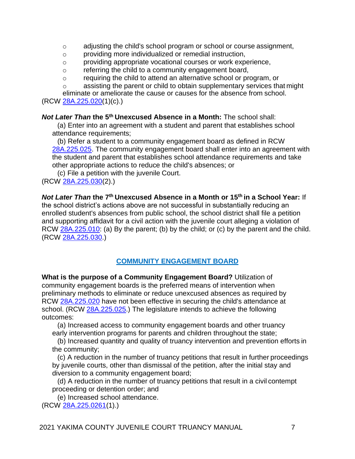- o adjusting the child's school program or school or course assignment,
- o providing more individualized or remedial instruction,
- o providing appropriate vocational courses or work experience,
- o referring the child to a community engagement board,
- o requiring the child to attend an alternative school or program, or
- o assisting the parent or child to obtain supplementary services that might

eliminate or ameliorate the cause or causes for the absence from school. (RCW [28A.225.020\(](http://app.leg.wa.gov/RCW/default.aspx?cite=28A.225.020)1)(c).)

*Not Later Than* **the 5th Unexcused Absence in a Month:** The school shall:

(a) Enter into an agreement with a student and parent that establishes school attendance requirements;

(b) Refer a student to a community engagement board as defined in RCW [28A.225.025.](http://app.leg.wa.gov/RCW/default.aspx?cite=28A.225&full=true&28A.225.025) The community engagement board shall enter into an agreement with the student and parent that establishes school attendance requirements and take other appropriate actions to reduce the child's absences; or

(c) File a petition with the juvenile Court.

(RCW [28A.225.030\(](http://app.leg.wa.gov/RCW/default.aspx?cite=28A.225.030)2).)

**Not Later Than the 7<sup>th</sup> Unexcused Absence in a Month or 15<sup>th</sup> in a School Year: If** the school district's actions above are not successful in substantially reducing an enrolled student's absences from public school, the school district shall file a petition and supporting affidavit for a civil action with the juvenile court alleging a violation of RCW [28A.225.010:](http://app.leg.wa.gov/RCW/default.aspx?cite=28A.225.010) (a) By the parent; (b) by the child; or (c) by the parent and the child. (RCW [28A.225.030.](http://app.leg.wa.gov/RCW/default.aspx?cite=28A.225.030))

# **COMMUNITY ENGAGEMENT BOARD**

<span id="page-6-0"></span>**What is the purpose of a Community Engagement Board?** Utilization of community engagement boards is the preferred means of intervention when preliminary methods to eliminate or reduce unexcused absences as required by RCW [28A.225.020](http://app.leg.wa.gov/RCW/default.aspx?cite=28A.225.020) have not been effective in securing the child's attendance at school. (RCW [28A.225.025.](http://app.leg.wa.gov/RCW/default.aspx?cite=28A.225.025)) The legislature intends to achieve the following outcomes:

(a) Increased access to community engagement boards and other truancy early intervention programs for parents and children throughout the state;

(b) Increased quantity and quality of truancy intervention and prevention efforts in the community;

(c) A reduction in the number of truancy petitions that result in further proceedings by juvenile courts, other than dismissal of the petition, after the initial stay and diversion to a community engagement board;

(d) A reduction in the number of truancy petitions that result in a civil contempt proceeding or detention order; and

(e) Increased school attendance. (RCW [28A.225.0261\(](http://app.leg.wa.gov/RCW/default.aspx?cite=28A.225.0261)1).)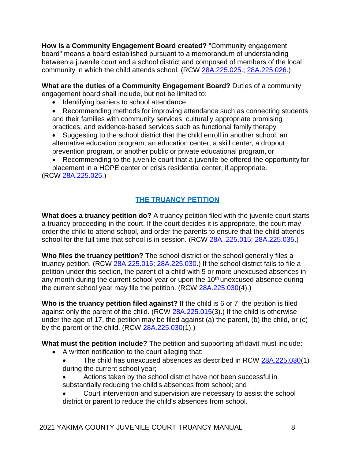**How is a Community Engagement Board created?** "Community engagement board" means a board established pursuant to a memorandum of understanding between a juvenile court and a school district and composed of members of the local community in which the child attends school. (RCW [28A.225.025.](http://app.leg.wa.gov/RCW/default.aspx?cite=28A.225.025); [28A.225.026.](http://app.leg.wa.gov/RCW/default.aspx?cite=28A.225.026))

**What are the duties of a Community Engagement Board?** Duties of a community engagement board shall include, but not be limited to:

• Identifying barriers to school attendance

• Recommending methods for improving attendance such as connecting students and their families with community services, culturally appropriate promising practices, and evidence-based services such as functional family therapy

• Suggesting to the school district that the child enroll in another school, an alternative education program, an education center, a skill center, a dropout prevention program, or another public or private educational program, or

• Recommending to the juvenile court that a juvenile be offered the opportunity for placement in a HOPE center or crisis residential center, if appropriate. (RCW [28A.225.025.](http://app.leg.wa.gov/RCW/default.aspx?cite=28A.225.025))

# **THE TRUANCY PETITION**

<span id="page-7-0"></span>**What does a truancy petition do?** A truancy petition filed with the juvenile court starts a truancy proceeding in the court. If the court decides it is appropriate, the court may order the child to attend school, and order the parents to ensure that the child attends school for the full time that school is in session. (RCW [28A..225.015;](http://app.leg.wa.gov/RCW/default.aspx?cite=28A.225.015) [28A.225.035.](http://app.leg.wa.gov/RCW/default.aspx?cite=28A.225.035))

**Who files the truancy petition?** The school district or the school generally files a truancy petition. (RCW [28A.225.015;](http://app.leg.wa.gov/RCW/default.aspx?cite=28A.225.015) [28A.225.030.](http://app.leg.wa.gov/RCW/default.aspx?cite=28A.225.030)) If the school district fails to file a petition under this section, the parent of a child with 5 or more unexcused absences in any month during the current school year or upon the 10<sup>th</sup> unexcused absence during the current school year may file the petition. (RCW [28A.225.030\(](http://app.leg.wa.gov/RCW/default.aspx?cite=28A.225.030)4).)

**Who is the truancy petition filed against?** If the child is 6 or 7, the petition is filed against only the parent of the child. (RCW [28A.225.015\(](http://app.leg.wa.gov/RCW/default.aspx?cite=28A.225.015)3).) If the child is otherwise under the age of 17, the petition may be filed against (a) the parent, (b) the child, or (c) by the parent or the child.  $(RCW 28A.225.030(1))$  $(RCW 28A.225.030(1))$  $(RCW 28A.225.030(1))$ .

**What must the petition include?** The petition and supporting affidavit must include:

- A written notification to the court alleging that:
	- The child has unexcused absences as described in RCW [28A.225.030\(](http://app.leg.wa.gov/RCW/default.aspx?cite=28A.225.030)1) during the current school year;
	- Actions taken by the school district have not been successful in substantially reducing the child's absences from school; and
	- Court intervention and supervision are necessary to assist the school district or parent to reduce the child's absences from school.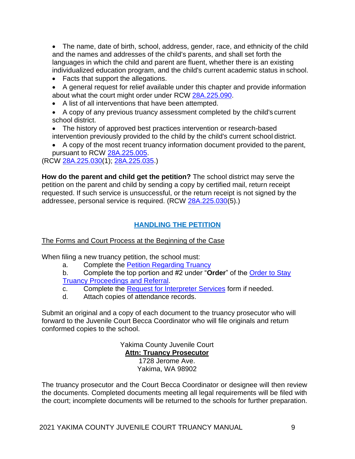• The name, date of birth, school, address, gender, race, and ethnicity of the child and the names and addresses of the child's parents, and shall set forth the languages in which the child and parent are fluent, whether there is an existing individualized education program, and the child's current academic status in school.

- Facts that support the allegations.
- A general request for relief available under this chapter and provide information about what the court might order under RCW [28A.225.090.](http://app.leg.wa.gov/RCW/default.aspx?cite=28A.225.090)
- A list of all interventions that have been attempted.
- A copy of any previous truancy assessment completed by the child's current school district.
- The history of approved best practices intervention or research-based intervention previously provided to the child by the child's current school district.
- A copy of the most recent truancy information document provided to the parent, pursuant to RCW [28A.225.005.](http://app.leg.wa.gov/RCW/default.aspx?cite=28A.225.005)

(RCW [28A.225.030\(](http://app.leg.wa.gov/RCW/default.aspx?cite=28A.225.030)1); [28A.225.035.](http://app.leg.wa.gov/RCW/default.aspx?cite=28A.225.035))

**How do the parent and child get the petition?** The school district may serve the petition on the parent and child by sending a copy by certified mail, return receipt requested. If such service is unsuccessful, or the return receipt is not signed by the addressee, personal service is required. (RCW [28A.225.030\(](http://app.leg.wa.gov/RCW/default.aspx?cite=28A.225.030)5).)

# **HANDLING THE PETITION**

# <span id="page-8-0"></span>The Forms and Court Process at the Beginning of the Case

When filing a new truancy petition, the school must:

- a. Complete the [Petition Regarding](http://www.yakimacounty.us/561/Truancy) Truancy
- b. Complete the top portion and #2 under "**Order**" of the [Order to Stay](http://www.yakimacounty.us/561/Truancy) [Truancy Proceedings and](http://www.yakimacounty.us/561/Truancy) Referral.
- c. Complete the [Request for Interpreter Services](http://www.yakimacounty.us/561/Truancy) form if needed.
- d. Attach copies of attendance records.

Submit an original and a copy of each document to the truancy prosecutor who will forward to the Juvenile Court Becca Coordinator who will file originals and return conformed copies to the school.

> Yakima County Juvenile Court **Attn: Truancy Prosecutor** 1728 Jerome Ave. Yakima, WA 98902

The truancy prosecutor and the Court Becca Coordinator or designee will then review the documents. Completed documents meeting all legal requirements will be filed with the court; incomplete documents will be returned to the schools for further preparation.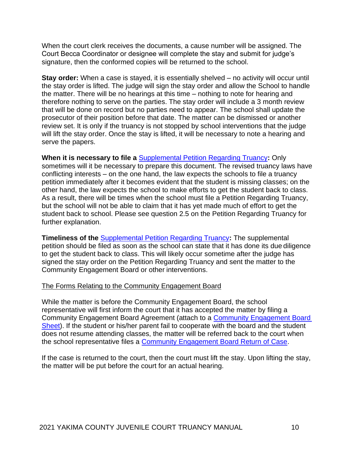When the court clerk receives the documents, a cause number will be assigned. The Court Becca Coordinator or designee will complete the stay and submit for judge's signature, then the conformed copies will be returned to the school.

**Stay order:** When a case is stayed, it is essentially shelved – no activity will occur until the stay order is lifted. The judge will sign the stay order and allow the School to handle the matter. There will be no hearings at this time – nothing to note for hearing and therefore nothing to serve on the parties. The stay order will include a 3 month review that will be done on record but no parties need to appear. The school shall update the prosecutor of their position before that date. The matter can be dismissed or another review set. It is only if the truancy is not stopped by school interventions that the judge will lift the stay order. Once the stay is lifted, it will be necessary to note a hearing and serve the papers.

**When it is necessary to file a** [Supplemental Petition Regarding Truancy](http://www.yakimacounty.us/561/Truancy)**:** Only sometimes will it be necessary to prepare this document. The revised truancy laws have conflicting interests – on the one hand, the law expects the schools to file a truancy petition immediately after it becomes evident that the student is missing classes; on the other hand, the law expects the school to make efforts to get the student back to class. As a result, there will be times when the school must file a Petition Regarding Truancy, but the school will not be able to claim that it has yet made much of effort to get the student back to school. Please see question 2.5 on the Petition Regarding Truancy for further explanation.

**Timeliness of the** [Supplemental Petition Regarding Truancy](http://www.yakimacounty.us/561/Truancy)**:** The supplemental petition should be filed as soon as the school can state that it has done its due diligence to get the student back to class. This will likely occur sometime after the judge has signed the stay order on the Petition Regarding Truancy and sent the matter to the Community Engagement Board or other interventions.

#### The Forms Relating to the Community Engagement Board

While the matter is before the Community Engagement Board, the school representative will first inform the court that it has accepted the matter by filing a Community Engagement Board Agreement (attach to a [Community Engagement](http://www.yakimacounty.us/561/Truancy) Board [Sheet\)](http://www.yakimacounty.us/561/Truancy). If the student or his/her parent fail to cooperate with the board and the student does not resume attending classes, the matter will be referred back to the court when the school representative files a [Community Engagement](http://www.yakimacounty.us/561/Truancy) Board Return of Case.

If the case is returned to the court, then the court must lift the stay. Upon lifting the stay, the matter will be put before the court for an actual hearing.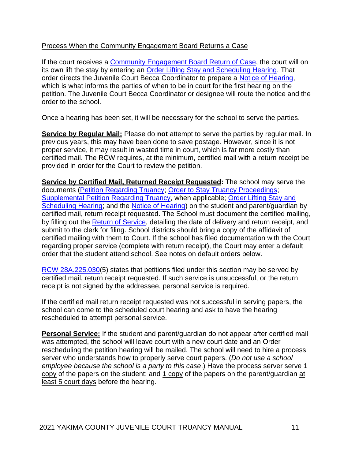#### Process When the Community Engagement Board Returns a Case

If the court receives a [Community Engagement](http://www.yakimacounty.us/561/Truancy) Board Return of Case, the court will on its own lift the stay by entering an [Order Lifting Stay and Scheduling Hearing.](http://www.yakimacounty.us/561/Truancy) That order directs the Juvenile Court Becca Coordinator to prepare a [Notice of Hearing,](http://www.yakimacounty.us/561/Truancy) which is what informs the parties of when to be in court for the first hearing on the petition. The Juvenile Court Becca Coordinator or designee will route the notice and the order to the school.

Once a hearing has been set, it will be necessary for the school to serve the parties.

**Service by Regular Mail:** Please do not attempt to serve the parties by regular mail. In previous years, this may have been done to save postage. However, since it is not proper service, it may result in wasted time in court, which is far more costly than certified mail. The RCW requires, at the minimum, certified mail with a return receipt be provided in order for the Court to review the petition.

**Service by Certified Mail, Returned Receipt Requested:** The school may serve the documents [\(Petition Regarding Truancy; Order to Stay Truancy Proceedings;](http://www.yakimacounty.us/561/Truancy) [Supplemental Petition Regarding Truancy,](http://www.yakimacounty.us/561/Truancy) when applicable; [Order Lifting Stay and](http://www.yakimacounty.us/561/Truancy) [Scheduling Hearing;](http://www.yakimacounty.us/561/Truancy) and the [Notice of Hearing\)](http://www.yakimacounty.us/561/Truancy) on the student and parent/guardian by certified mail, return receipt requested. The School must document the certified mailing, by filling out the [Return of Service,](http://www.yakimacounty.us/561/Truancy) detailing the date of delivery and return receipt, and submit to the clerk for filing. School districts should bring a copy of the affidavit of certified mailing with them to Court. If the school has filed documentation with the Court regarding proper service (complete with return receipt), the Court may enter a default order that the student attend school. See notes on default orders below.

[RCW 28A.225.030\(](http://app.leg.wa.gov/RCW/default.aspx?cite=28A.225.030)5) states that petitions filed under this section may be served by certified mail, return receipt requested. If such service is unsuccessful, or the return receipt is not signed by the addressee, personal service is required.

If the certified mail return receipt requested was not successful in serving papers, the school can come to the scheduled court hearing and ask to have the hearing rescheduled to attempt personal service.

**Personal Service:** If the student and parent/guardian do not appear after certified mail was attempted, the school will leave court with a new court date and an Order rescheduling the petition hearing will be mailed. The school will need to hire a process server who understands how to properly serve court papers. (*Do not use a school employee because the school is a party to this case.)* Have the process server serve 1 copy of the papers on the student; and 1 copy of the papers on the parent/guardian at least 5 court days before the hearing.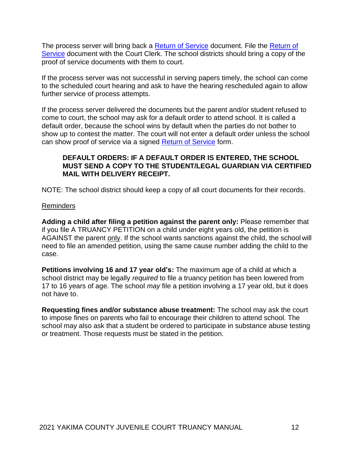The process server will bring back a [Return of Service](http://www.yakimacounty.us/561/Truancy) document. File the [Return of](http://www.yakimacounty.us/561/Truancy) [Service](http://www.yakimacounty.us/561/Truancy) document with the Court Clerk. The school districts should bring a copy of the proof of service documents with them to court.

If the process server was not successful in serving papers timely, the school can come to the scheduled court hearing and ask to have the hearing rescheduled again to allow further service of process attempts.

If the process server delivered the documents but the parent and/or student refused to come to court, the school may ask for a default order to attend school. It is called a default order, because the school wins by default when the parties do not bother to show up to contest the matter. The court will not enter a default order unless the school can show proof of service via a signed [Return of Service](http://www.yakimacounty.us/561/Truancy) form.

#### **DEFAULT ORDERS: IF A DEFAULT ORDER IS ENTERED, THE SCHOOL MUST SEND A COPY TO THE STUDENT/LEGAL GUARDIAN VIA CERTIFIED MAIL WITH DELIVERY RECEIPT.**

NOTE: The school district should keep a copy of all court documents for their records.

#### Reminders

**Adding a child after filing a petition against the parent only:** Please remember that if you file A TRUANCY PETITION on a child under eight years old, the petition is AGAINST the parent only. If the school wants sanctions against the child, the school will need to file an amended petition, using the same cause number adding the child to the case.

**Petitions involving 16 and 17 year old's:** The maximum age of a child at which a school district may be legally *required* to file a truancy petition has been lowered from 17 to 16 years of age. The school *may* file a petition involving a 17 year old, but it does not have to.

**Requesting fines and/or substance abuse treatment:** The school may ask the court to impose fines on parents who fail to encourage their children to attend school. The school may also ask that a student be ordered to participate in substance abuse testing or treatment. Those requests must be stated in the petition.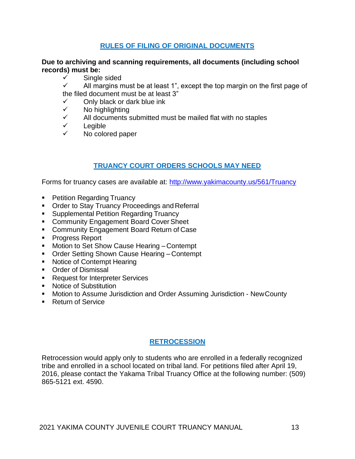#### **RULES OF FILING OF ORIGINAL DOCUMENTS**

#### <span id="page-12-0"></span>**Due to archiving and scanning requirements, all documents (including school records) must be:**

✓ Single sided

 $\checkmark$  All margins must be at least 1", except the top margin on the first page of the filed document must be at least 3"

✓ Only black or dark blue ink

- No highlighting
- $\checkmark$  All documents submitted must be mailed flat with no staples
- ✓ Legible
- ✓ No colored paper

# **TRUANCY COURT ORDERS SCHOOLS MAY NEED**

<span id="page-12-1"></span>Forms for truancy cases are available at:<http://www.yakimacounty.us/561/Truancy>

- Petition Regarding Truancy
- Order to Stay Truancy Proceedings and Referral
- Supplemental Petition Regarding Truancy
- Community Engagement Board Cover Sheet
- Community Engagement Board Return of Case
- Progress Report
- Motion to Set Show Cause Hearing Contempt
- Order Setting Shown Cause Hearing Contempt
- Notice of Contempt Hearing
- Order of Dismissal
- Request for Interpreter Services
- Notice of Substitution
- Motion to Assume Jurisdiction and Order Assuming Jurisdiction New County
- Return of Service

# **RETROCESSION**

<span id="page-12-2"></span>Retrocession would apply only to students who are enrolled in a federally recognized tribe and enrolled in a school located on tribal land. For petitions filed after April 19, 2016, please contact the Yakama Tribal Truancy Office at the following number: (509) 865-5121 ext. 4590.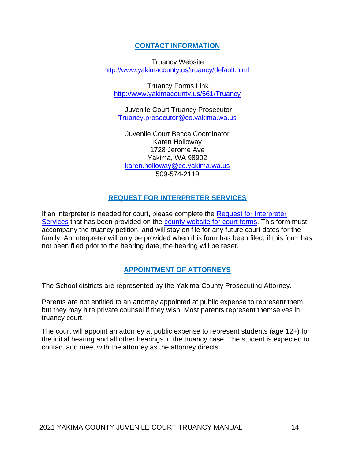#### **CONTACT INFORMATION**

<span id="page-13-0"></span>Truancy Website <http://www.yakimacounty.us/truancy/default.html>

Truancy Forms Link <http://www.yakimacounty.us/561/Truancy>

Juvenile Court Truancy Prosecutor [Truancy.prosecutor@co.yakima.wa.us](mailto:Truancy.prosecutor@co.yakima.wa.us)

Juvenile Court Becca Coordinator Karen Holloway 1728 Jerome Ave Yakima, WA 98902 [karen.holloway@co.yakima.wa.us](mailto:karen.holloway@co.yakima.wa.us) 509-574-2119

#### **REQUEST FOR INTERPRETER SERVICES**

<span id="page-13-1"></span>If an interpreter is needed for court, please complete the [Request for Interpreter](http://www.yakimacounty.us/561/Truancy) [Services](http://www.yakimacounty.us/561/Truancy) that has been provided on the [county website for court forms.](http://www.yakimacounty.us/561/Truancy) This form must accompany the truancy petition, and will stay on file for any future court dates for the family. An interpreter will only be provided when this form has been filed; if this form has not been filed prior to the hearing date, the hearing will be reset.

#### **APPOINTMENT OF ATTORNEYS**

<span id="page-13-2"></span>The School districts are represented by the Yakima County Prosecuting Attorney.

Parents are not entitled to an attorney appointed at public expense to represent them, but they may hire private counsel if they wish. Most parents represent themselves in truancy court.

The court will appoint an attorney at public expense to represent students (age 12+) for the initial hearing and all other hearings in the truancy case. The student is expected to contact and meet with the attorney as the attorney directs.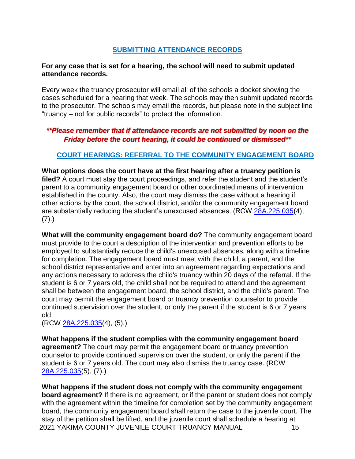# **SUBMITTING ATTENDANCE RECORDS**

#### <span id="page-14-0"></span>**For any case that is set for a hearing, the school will need to submit updated attendance records.**

Every week the truancy prosecutor will email all of the schools a docket showing the cases scheduled for a hearing that week. The schools may then submit updated records to the prosecutor. The schools may email the records, but please note in the subject line "truancy – not for public records" to protect the information.

# *\*\*Please remember that if attendance records are not submitted by noon on the Friday before the court hearing, it could be continued or dismissed\*\**

#### <span id="page-14-1"></span>**COURT HEARINGS: REFERRAL TO THE COMMUNITY ENGAGEMENT BOARD**

**What options does the court have at the first hearing after a truancy petition is**  filed? A court must stay the court proceedings, and refer the student and the student's parent to a community engagement board or other coordinated means of intervention established in the county. Also, the court may dismiss the case without a hearing if other actions by the court, the school district, and/or the community engagement board are substantially reducing the student's unexcused absences. (RCW [28A.225.035\(](http://app.leg.wa.gov/RCW/default.aspx?cite=28A.225.035)4),  $(7).$ 

**What will the community engagement board do?** The community engagement board must provide to the court a description of the intervention and prevention efforts to be employed to substantially reduce the child's unexcused absences, along with a timeline for completion. The engagement board must meet with the child, a parent, and the school district representative and enter into an agreement regarding expectations and any actions necessary to address the child's truancy within 20 days of the referral. If the student is 6 or 7 years old, the child shall not be required to attend and the agreement shall be between the engagement board, the school district, and the child's parent. The court may permit the engagement board or truancy prevention counselor to provide continued supervision over the student, or only the parent if the student is 6 or 7 years old.

(RCW [28A.225.035\(](http://app.leg.wa.gov/RCW/default.aspx?cite=28A.225.035)4), (5).)

**What happens if the student complies with the community engagement board agreement?** The court may permit the engagement board or truancy prevention counselor to provide continued supervision over the student, or only the parent if the student is 6 or 7 years old. The court may also dismiss the truancy case. (RCW [28A.225.035\(](http://app.leg.wa.gov/RCW/default.aspx?cite=28A.225.035)5), (7).)

2021 YAKIMA COUNTY JUVENILE COURT TRUANCY MANUAL 15 **What happens if the student does not comply with the community engagement board agreement?** If there is no agreement, or if the parent or student does not comply with the agreement within the timeline for completion set by the community engagement board, the community engagement board shall return the case to the juvenile court. The stay of the petition shall be lifted, and the juvenile court shall schedule a hearing at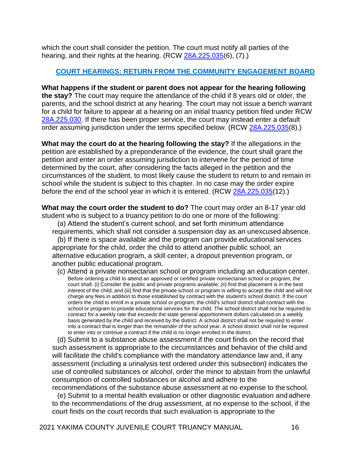which the court shall consider the petition. The court must notify all parties of the hearing, and their rights at the hearing. (RCW [28A.225.035\(](http://app.leg.wa.gov/RCW/default.aspx?cite=28A.225.035)6), (7).)

#### **COURT HEARINGS: RETURN FROM THE COMMUNITY ENGAGEMENT BOARD**

<span id="page-15-0"></span>**What happens if the student or parent does not appear for the hearing following the stay?** The court may require the attendance of the child if 8 years old or older, the parents, and the school district at any hearing. The court may not issue a bench warrant for a child for failure to appear at a hearing on an initial truancy petition filed under RCW [28A.225.030.](http://app.leg.wa.gov/RCW/default.aspx?cite=28A.225&full=true&28A.225.030) If there has been proper service, the court may instead enter a default order assuming jurisdiction under the terms specified below. (RCW [28A.225.035\(](http://app.leg.wa.gov/RCW/default.aspx?cite=28A.225.035)8).)

**What may the court do at the hearing following the stay?** If the allegations in the petition are established by a preponderance of the evidence, the court shall grant the petition and enter an order assuming jurisdiction to intervene for the period of time determined by the court, after considering the facts alleged in the petition and the circumstances of the student, to most likely cause the student to return to and remain in school while the student is subject to this chapter. In no case may the order expire before the end of the school year in which it is entered. (RCW [28A.225.035\(](http://app.leg.wa.gov/RCW/default.aspx?cite=28A.225.035)12).)

**What may the court order the student to do?** The court may order an 8-17 year old student who is subject to a truancy petition to do one or more of the following:

(a) Attend the student's current school, and set forth minimum attendance requirements, which shall not consider a suspension day as an unexcused absence.

(b) If there is space available and the program can provide educational services appropriate for the child, order the child to attend another public school, an alternative education program, a skill center, a dropout prevention program, or another public educational program.

(c) Attend a private nonsectarian school or program including an education center. Before ordering a child to attend an approved or certified private nonsectarian school or program, the court shall: (i) Consider the public and private programs available; (ii) find that placement is in the best interest of the child; and (iii) find that the private school or program is willing to accept the child and will not charge any fees in addition to those established by contract with the student's school district. If the court orders the child to enroll in a private school or program, the child's school district shall contract with the school or program to provide educational services for the child. The school district shall not be required to contract for a weekly rate that exceeds the state general apportionment dollars calculated on a weekly basis generated by the child and received by the district. A school district shall not be required to enter into a contract that is longer than the remainder of the school year. A school district shall not be required to enter into or continue a contract if the child is no longer enrolled in the district.

(d) Submit to a substance abuse assessment if the court finds on the record that such assessment is appropriate to the circumstances and behavior of the child and will facilitate the child's compliance with the mandatory attendance law and, if any assessment (including a urinalysis test ordered under this subsection) indicates the use of controlled substances or alcohol, order the minor to abstain from the unlawful consumption of controlled substances or alcohol and adhere to the recommendations of the substance abuse assessment at no expense to the school.

(e) Submit to a mental health evaluation or other diagnostic evaluation and adhere to the recommendations of the drug assessment, at no expense to the school, if the court finds on the court records that such evaluation is appropriate to the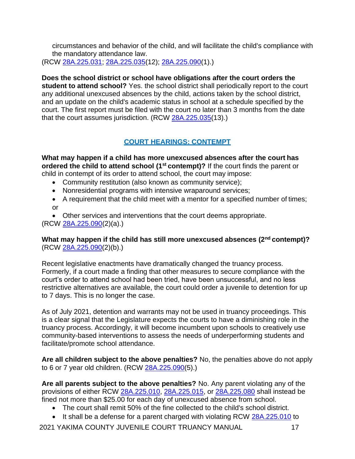circumstances and behavior of the child, and will facilitate the child's compliance with the mandatory attendance law.

(RCW [28A.225.031;](http://app.leg.wa.gov/RCW/default.aspx?cite=28A.225.031) [28A.225.035\(](http://app.leg.wa.gov/RCW/default.aspx?cite=28A.225.035)12); [28A.225.090\(](http://app.leg.wa.gov/RCW/default.aspx?cite=28A.225.090)1).)

**Does the school district or school have obligations after the court orders the student to attend school?** Yes. the school district shall periodically report to the court any additional unexcused absences by the child, actions taken by the school district, and an update on the child's academic status in school at a schedule specified by the court. The first report must be filed with the court no later than 3 months from the date that the court assumes jurisdiction. (RCW [28A.225.035\(](http://app.leg.wa.gov/RCW/default.aspx?cite=28A.225.035)13).)

# **COURT HEARINGS: CONTEMPT**

<span id="page-16-0"></span>**What may happen if a child has more unexcused absences after the court has ordered the child to attend school (1st contempt)?** If the court finds the parent or child in contempt of its order to attend school, the court may impose:

- Community restitution (also known as community service);
- Nonresidential programs with intensive wraparound services;
- A requirement that the child meet with a mentor for a specified number of times; or
- Other services and interventions that the court deems appropriate.

(RCW [28A.225.090\(](http://app.leg.wa.gov/RCW/default.aspx?cite=28A.225.090)2)(a).)

# **What may happen if the child has still more unexcused absences (2nd contempt)?** (RCW [28A.225.090\(](https://app.leg.wa.gov/RCW/default.aspx?cite=28A.225.090)2)(b).)

Recent legislative enactments have dramatically changed the truancy process. Formerly, if a court made a finding that other measures to secure compliance with the court's order to attend school had been tried, have been unsuccessful, and no less restrictive alternatives are available, the court could order a juvenile to detention for up to 7 days. This is no longer the case.

As of July 2021, detention and warrants may not be used in truancy proceedings. This is a clear signal that the Legislature expects the courts to have a diminishing role in the truancy process. Accordingly, it will become incumbent upon schools to creatively use community-based interventions to assess the needs of underperforming students and facilitate/promote school attendance.

**Are all children subject to the above penalties?** No, the penalties above do not apply to 6 or 7 year old children. (RCW [28A.225.090\(](http://app.leg.wa.gov/RCW/default.aspx?cite=28A.225.090)5).)

**Are all parents subject to the above penalties?** No. Any parent violating any of the provisions of either RCW [28A.225.010,](http://app.leg.wa.gov/RCW/default.aspx?cite=28A.225.010) [28A.225.015,](http://app.leg.wa.gov/RCW/default.aspx?cite=28A.225.015) or [28A.225.080](http://app.leg.wa.gov/RCW/default.aspx?cite=28A.225.080) shall instead be fined not more than \$25.00 for each day of unexcused absence from school.

- The court shall remit 50% of the fine collected to the child's school district.
- It shall be a defense for a parent charged with violating RCW [28A.225.010](http://app.leg.wa.gov/RCW/default.aspx?cite=28A.225.010) to

2021 YAKIMA COUNTY JUVENILE COURT TRUANCY MANUAL 17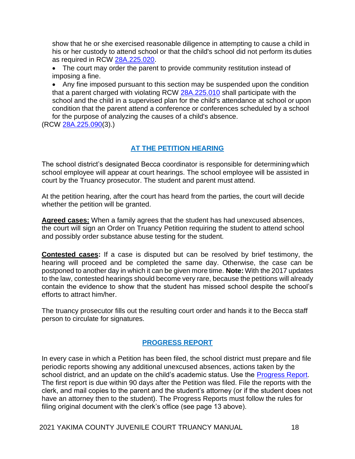show that he or she exercised reasonable diligence in attempting to cause a child in his or her custody to attend school or that the child's school did not perform its duties as required in RCW [28A.225.020.](http://app.leg.wa.gov/RCW/default.aspx?cite=28A.225.020)

• The court may order the parent to provide community restitution instead of imposing a fine.

• Any fine imposed pursuant to this section may be suspended upon the condition that a parent charged with violating RCW [28A.225.010](http://app.leg.wa.gov/RCW/default.aspx?cite=28A.225.010) shall participate with the school and the child in a supervised plan for the child's attendance at school or upon condition that the parent attend a conference or conferences scheduled by a school for the purpose of analyzing the causes of a child's absence.

(RCW [28A.225.090\(](http://app.leg.wa.gov/RCW/default.aspx?cite=28A.225.090)3).)

# **AT THE PETITION HEARING**

<span id="page-17-0"></span>The school district's designated Becca coordinator is responsible for determiningwhich school employee will appear at court hearings. The school employee will be assisted in court by the Truancy prosecutor. The student and parent must attend.

At the petition hearing, after the court has heard from the parties, the court will decide whether the petition will be granted.

**Agreed cases:** When a family agrees that the student has had unexcused absences, the court will sign an Order on Truancy Petition requiring the student to attend school and possibly order substance abuse testing for the student.

**Contested cases:** If a case is disputed but can be resolved by brief testimony, the hearing will proceed and be completed the same day. Otherwise, the case can be postponed to another day in which it can be given more time. **Note:** With the 2017 updates to the law, contested hearings should become very rare, because the petitions will already contain the evidence to show that the student has missed school despite the school's efforts to attract him/her.

The truancy prosecutor fills out the resulting court order and hands it to the Becca staff person to circulate for signatures.

# **PROGRESS REPORT**

In every case in which a Petition has been filed, the school district must prepare and file periodic reports showing any additional unexcused absences, actions taken by the school district, and an update on the child's academic status. Use the [Progress Report.](http://www.yakimacounty.us/561/Truancy) The first report is due within 90 days after the Petition was filed. File the reports with the clerk, and mail copies to the parent and the student's attorney (or if the student does not have an attorney then to the student). The Progress Reports must follow the rules for filing original document with the clerk's office (see page 13 above).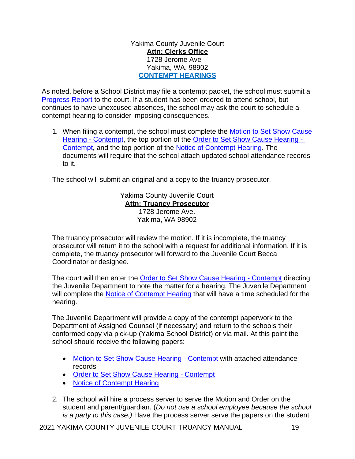Yakima County Juvenile Court **Attn: Clerks Office** 1728 Jerome Ave Yakima, WA. 98902 **CONTEMPT HEARINGS**

As noted, before a School District may file a contempt packet, the school must submit a [Progress Report](http://www.yakimacounty.us/561/Truancy) to the court. If a student has been ordered to attend school, but continues to have unexcused absences, the school may ask the court to schedule a contempt hearing to consider imposing consequences.

1. When filing a contempt, the school must complete the [Motion to Set Show Cause](http://www.yakimacounty.us/561/Truancy) Hearing - [Contempt,](http://www.yakimacounty.us/561/Truancy) the top portion of the [Order to Set Show Cause Hearing -](http://www.yakimacounty.us/561/Truancy) [Contempt,](http://www.yakimacounty.us/561/Truancy) and the top portion of the [Notice of Contempt Hearing.](http://www.yakimacounty.us/561/Truancy) The documents will require that the school attach updated school attendance records to it.

The school will submit an original and a copy to the truancy prosecutor.

Yakima County Juvenile Court **Attn: Truancy Prosecutor** 1728 Jerome Ave. Yakima, WA 98902

The truancy prosecutor will review the motion. If it is incomplete, the truancy prosecutor will return it to the school with a request for additional information. If it is complete, the truancy prosecutor will forward to the Juvenile Court Becca Coordinator or designee.

The court will then enter the [Order to Set Show Cause Hearing -](http://www.yakimacounty.us/561/Truancy) Contempt directing the Juvenile Department to note the matter for a hearing. The Juvenile Department will complete the [Notice of Contempt Hearing](http://www.yakimacounty.us/561/Truancy) that will have a time scheduled for the hearing.

The Juvenile Department will provide a copy of the contempt paperwork to the Department of Assigned Counsel (if necessary) and return to the schools their conformed copy via pick-up (Yakima School District) or via mail. At this point the school should receive the following papers:

- [Motion to Set Show Cause Hearing -](http://www.yakimacounty.us/561/Truancy) Contempt with attached attendance records
- [Order to Set Show Cause Hearing -](http://www.yakimacounty.us/561/Truancy) Contempt
- [Notice of Contempt](http://www.yakimacounty.us/561/Truancy) Hearing
- 2. The school will hire a process server to serve the Motion and Order on the student and parent/guardian. (*Do not use a school employee because the school is a party to this case.)* Have the process server serve the papers on the student

2021 YAKIMA COUNTY JUVENILE COURT TRUANCY MANUAL 19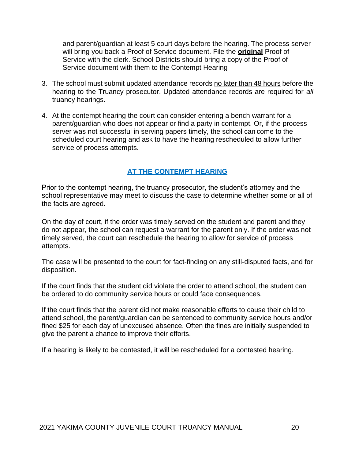and parent/guardian at least 5 court days before the hearing. The process server will bring you back a Proof of Service document. File the **original** Proof of Service with the clerk. School Districts should bring a copy of the Proof of Service document with them to the Contempt Hearing

- 3. The school must submit updated attendance records no later than 48 hours before the hearing to the Truancy prosecutor. Updated attendance records are required for *all*  truancy hearings.
- 4. At the contempt hearing the court can consider entering a bench warrant for a parent/guardian who does not appear or find a party in contempt. Or, if the process server was not successful in serving papers timely, the school can come to the scheduled court hearing and ask to have the hearing rescheduled to allow further service of process attempts.

# **AT THE CONTEMPT HEARING**

<span id="page-19-0"></span>Prior to the contempt hearing, the truancy prosecutor, the student's attorney and the school representative may meet to discuss the case to determine whether some or all of the facts are agreed.

On the day of court, if the order was timely served on the student and parent and they do not appear, the school can request a warrant for the parent only. If the order was not timely served, the court can reschedule the hearing to allow for service of process attempts.

The case will be presented to the court for fact-finding on any still-disputed facts, and for disposition.

If the court finds that the student did violate the order to attend school, the student can be ordered to do community service hours or could face consequences.

If the court finds that the parent did not make reasonable efforts to cause their child to attend school, the parent/guardian can be sentenced to community service hours and/or fined \$25 for each day of unexcused absence. Often the fines are initially suspended to give the parent a chance to improve their efforts.

If a hearing is likely to be contested, it will be rescheduled for a contested hearing.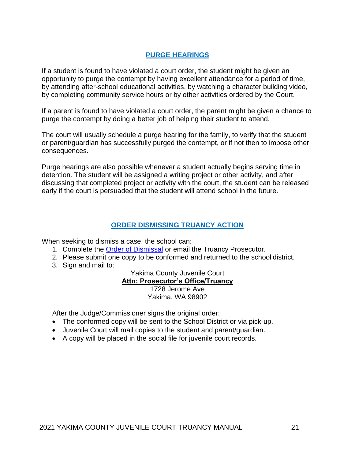# **PURGE HEARINGS**

<span id="page-20-0"></span>If a student is found to have violated a court order, the student might be given an opportunity to purge the contempt by having excellent attendance for a period of time, by attending after-school educational activities, by watching a character building video, by completing community service hours or by other activities ordered by the Court.

If a parent is found to have violated a court order, the parent might be given a chance to purge the contempt by doing a better job of helping their student to attend.

The court will usually schedule a purge hearing for the family, to verify that the student or parent/guardian has successfully purged the contempt, or if not then to impose other consequences.

Purge hearings are also possible whenever a student actually begins serving time in detention. The student will be assigned a writing project or other activity, and after discussing that completed project or activity with the court, the student can be released early if the court is persuaded that the student will attend school in the future.

#### **ORDER DISMISSING TRUANCY ACTION**

When seeking to dismiss a case, the school can:

- 1. Complete the [Order of Dismissal](http://www.yakimacounty.us/561/Truancy) or email the Truancy Prosecutor.
- 2. Please submit one copy to be conformed and returned to the school district.
- 3. Sign and mail to:

Yakima County Juvenile Court

#### **Attn: Prosecutor's Office/Truancy**

1728 Jerome Ave Yakima, WA 98902

After the Judge/Commissioner signs the original order:

- The conformed copy will be sent to the School District or via pick-up.
- Juvenile Court will mail copies to the student and parent/guardian.
- A copy will be placed in the social file for juvenile court records.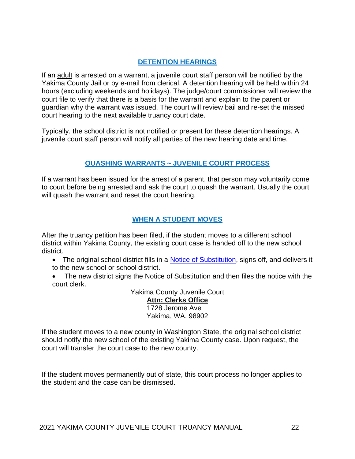# **DETENTION HEARINGS**

If an adult is arrested on a warrant, a juvenile court staff person will be notified by the Yakima County Jail or by e-mail from clerical. A detention hearing will be held within 24 hours (excluding weekends and holidays). The judge/court commissioner will review the court file to verify that there is a basis for the warrant and explain to the parent or guardian why the warrant was issued. The court will review bail and re-set the missed court hearing to the next available truancy court date.

Typically, the school district is not notified or present for these detention hearings. A juvenile court staff person will notify all parties of the new hearing date and time.

# **QUASHING WARRANTS ~ JUVENILE COURT PROCESS**

<span id="page-21-0"></span>If a warrant has been issued for the arrest of a parent, that person may voluntarily come to court before being arrested and ask the court to quash the warrant. Usually the court will quash the warrant and reset the court hearing.

# **WHEN A STUDENT MOVES**

<span id="page-21-1"></span>After the truancy petition has been filed, if the student moves to a different school district within Yakima County, the existing court case is handed off to the new school district.

- The original school district fills in a [Notice of Substitution,](http://www.yakimacounty.us/561/Truancy) signs off, and delivers it to the new school or school district.
- The new district signs the Notice of Substitution and then files the notice with the court clerk.

Yakima County Juvenile Court

**Attn: Clerks Office** 1728 Jerome Ave Yakima, WA. 98902

If the student moves to a new county in Washington State, the original school district should notify the new school of the existing Yakima County case. Upon request, the court will transfer the court case to the new county.

If the student moves permanently out of state, this court process no longer applies to the student and the case can be dismissed.